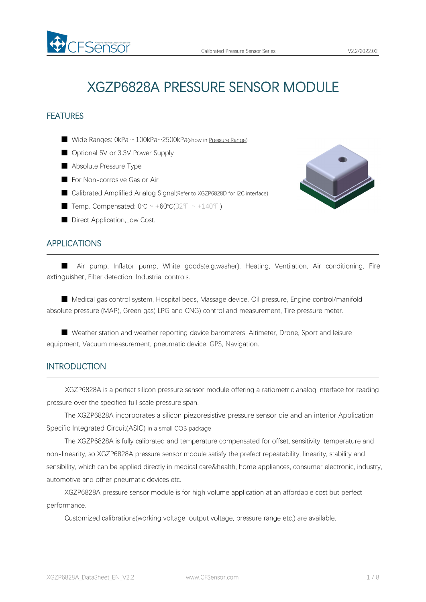# XGZP6828A PRESSURE SENSOR MODULE

## FEATURES

■ Wide Ranges: 0kPa ~ 100kPa…2500kPa(show in [Pressure](#page-4-0) Range)

- Optional 5V or 3.3V Power Supply
- Absolute Pressure Type

FSemSor

- For Non-corrosive Gas or Air
- Calibrated Amplified Analog Signal(Refer to XGZP6828D for I2C interface)
- Temp. Compensated:  $0^{\circ}C \sim +60^{\circ}C(32^{\circ}F \sim +140^{\circ}F)$
- Direct Application, Low Cost.

## APPLICATIONS

■ Air pump, Inflator pump, White goods(e.g.washer), Heating, Ventilation, Air conditioning, Fire extinguisher, Filter detection, Industrial controls.

■ Medical gas control system, Hospital beds, Massage device, Oil pressure, Engine control/manifold absolute pressure (MAP), Green gas( LPG and CNG) control and measurement, Tire pressure meter.

■ Weather station and weather reporting device barometers, Altimeter, Drone, Sport and leisure equipment, Vacuum measurement, pneumatic device, GPS, Navigation.

## INTRODUCTION

XGZP6828A is a perfect silicon pressure sensor module offering a ratiometric analog interface for reading pressure over the specified full scale pressure span.

The XGZP6828A incorporates a silicon piezoresistive pressure sensor die and an interior Application Specific Integrated Circuit(ASIC) in a small COB package

The XGZP6828A is fully calibrated and temperature compensated for offset, sensitivity, temperature and non-linearity, so XGZP6828A pressure sensor module satisfy the prefect repeatability, linearity, stability and sensibility, which can be applied directly in medical care&health, home appliances, consumer electronic, industry, automotive and other pneumatic devices etc.

XGZP6828A pressure sensor module is for high volume application at an affordable cost but perfect performance.

Customized calibrations(working voltage, output voltage, pressure range etc.) are available.

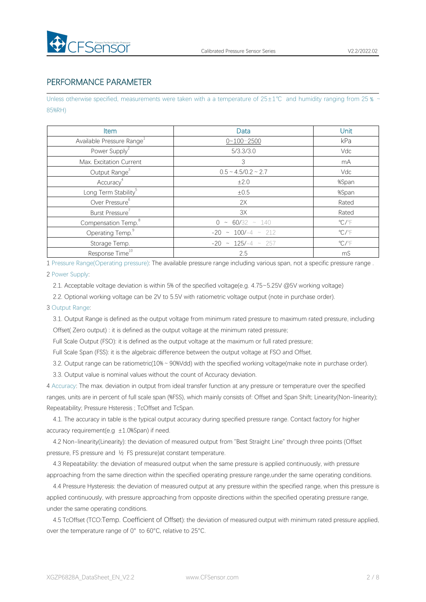

# PERFORMANCE PARAMETER

Unless otherwise specified, measurements were taken with a a temperature of 25±1℃ and humidity ranging from 25 % ~ 85%RH)

| Item                                  | Data                        | Unit                    |
|---------------------------------------|-----------------------------|-------------------------|
| Available Pressure Range <sup>1</sup> | $0 - 100 - 2500$            | kPa                     |
| Power Supply <sup>2</sup>             | 5/3.3/3.0                   | Vdc                     |
| Max. Excitation Current               | 3                           | mA                      |
| Output Range <sup>3</sup>             | $0.5 \sim 4.5/0.2 \sim 2.7$ | Vdc                     |
| Accuracy <sup>4</sup>                 | ±2.0                        | %Span                   |
| Long Term Stability <sup>5</sup>      | ±0.5                        | %Span                   |
| Over Pressure <sup>6</sup>            | 2X                          | Rated                   |
| Burst Pressure <sup>7</sup>           | 3X                          | Rated                   |
| Compensation Temp. <sup>8</sup>       | $0 \sim 60/32 \sim 140$     | $\mathrm{C}/\mathrm{F}$ |
| Operating Temp. <sup>9</sup>          | $-20 \sim 100/-4 \sim 212$  | $\mathrm{C}/\mathrm{F}$ |
| Storage Temp.                         | $-20 \sim 125/-4 \sim 257$  | $\mathrm{C}/\mathrm{F}$ |
| Response Time <sup>10</sup>           | 2.5                         | mS                      |

1 Pressure Range(Operating pressure): The available pressure range including variousspan, not a specific pressure range .

#### 2 Power Supply:

2.1. Acceptable voltage deviation is within 5% of the specified voltage(e.g. 4.75~5.25V @5V working voltage)

2.2. Optional working voltage can be 2V to 5.5V with ratiometric voltage output (note in purchase order).

#### 3 Output Range:

3.1. Output Range is defined as the output voltage from minimum rated pressure to maximum rated pressure, including Offset( Zero output) : it is defined as the output voltage at the minimum rated pressure;

Full Scale Output (FSO): it is defined as the output voltage at the maximum or full rated pressure;

Full Scale Span (FSS): it is the algebraic difference between the output voltage at FSO and Offset.

3.2. Output range can be ratiometric(10%~90%Vdd) with the specified working voltage(make note in purchase order).

3.3. Output value is nominal values without the count of Accuracy deviation.

4 Accuracy: The max. deviation in output from ideal transfer function at any pressure or temperature over the specified ranges, units are in percent of full scale span (%FSS), which mainly consists of: Offset and Span Shift; Linearity(Non-linearity); Repeatability; Pressure Hsteresis ; TcOffset and TcSpan.

4.1. The accuracy in table is the typical output accuracy during specified pressure range. Contact factory for higher accuracy requirement(e.g  $\pm 1.0$ %Span) if need.

4.2 Non-linearity(Linearity): the deviation of measured output from "Best Straight Line" through three points (Offset pressure, FS pressure and ½ FS pressure)at constant temperature.

4.3 Repeatability: the deviation of measured output when the same pressure is applied continuously, with pressure approaching from the same direction within the specified operating pressure range,under the same operating conditions.

4.4 Pressure Hysteresis: the deviation of measured output at any pressure within the specified range, when this pressure is applied continuously, with pressure approaching from opposite directions within the specified operating pressure range, under the same operating conditions.

4.5 TcOffset (TCO:Temp. Coefficient of Offset): the deviation of measured output with minimum rated pressure applied, over the temperature range of 0° to 60°C, relative to 25°C.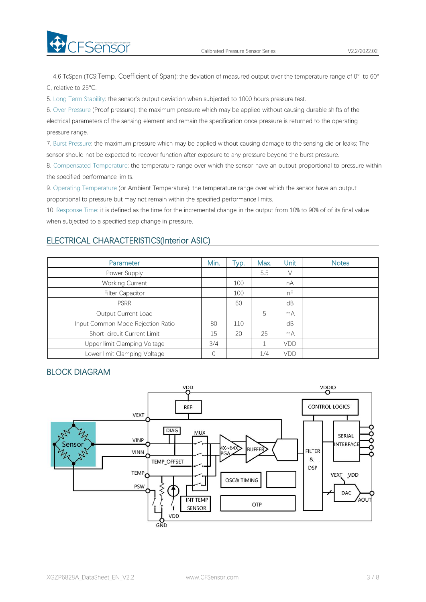

4.6 TcSpan (TCS:Temp. Coefficient of Span): the deviation of measured output over the temperature range of 0° to 60° C, relative to 25°C.

5. Long Term Stability: the sensor's output deviation when subjected to 1000 hours pressure test.

6. Over Pressure (Proof pressure): the maximum pressure which may be applied without causing durable shifts of the electrical parameters of the sensing element and remain the specification once pressure is returned to the operating pressure range.

7. Burst Pressure: the maximum pressure which may be applied without causing damage to the sensing die or leaks; The sensor should not be expected to recover function after exposure to any pressure beyond the burst pressure.

8. Compensated Temperature: the temperature range over which the sensor have an output proportional to pressure within the specified performance limits.

9. Operating Temperature (or Ambient Temperature): the temperature range over which the sensor have an output proportional to pressure but may not remain within the specified performance limits.

10. Response Time: it is defined as the time for the incremental change in the output from 10% to 90% of of its final value when subjected to a specified step change in pressure.

## ELECTRICAL CHARACTERISTICS(Interior ASIC)

| Parameter                         | Min. | Tур. | Max. | Unit | <b>Notes</b> |
|-----------------------------------|------|------|------|------|--------------|
| Power Supply                      |      |      | 5.5  | V    |              |
| <b>Working Current</b>            |      | 100  |      | nA   |              |
| <b>Filter Capacitor</b>           |      | 100  |      | nF   |              |
| <b>PSRR</b>                       |      | 60   |      | dB   |              |
| Output Current Load               |      |      | 5    | mA   |              |
| Input Common Mode Rejection Ratio | 80   | 110  |      | dB   |              |
| Short-circuit Current Limit       | 15   | 20   | 25   | mA   |              |
| Upper limit Clamping Voltage      | 3/4  |      |      | VDD  |              |
| Lower limit Clamping Voltage      |      |      | 1/4  | VDD  |              |

# BLOCK DIAGRAM

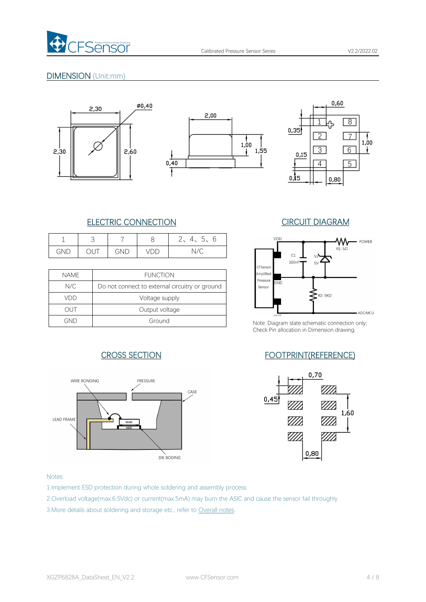

# DIMENSION (Unit:mm)







# ELECTRIC CONNECTION CIRCUIT DIAGRAM

|     |                       |     | ◡   | $\sqrt{2}$<br>$\sim$ $\sim$<br>◡<br>◡ | VDD |
|-----|-----------------------|-----|-----|---------------------------------------|-----|
| GND | $\overline{a}$<br>◡◡⊤ | GND | VDD | $\sqrt{2}$<br>N/C                     |     |

|             |                                                | --------           |              |
|-------------|------------------------------------------------|--------------------|--------------|
| <b>NAME</b> | <b>FUNCTION</b>                                | Amplified          |              |
| N/C         | Do not connect to external circuitry or ground | Pressure<br>Sensor | GND          |
| VDD         | Voltage supply                                 |                    |              |
| out         | Output voltage                                 |                    | $\bigcap$ IT |
| GND         | Ground                                         | Note: Diagram      |              |





Note: Diagram state schematic connection only; Check Pin allocation in Dimension drawing.

# CROSS SECTION FOOTPRINT(REFERENCE)



#### Notes:

1.Implement ESD protection during whole soldering and assembly process.

2.Overload voltage(max.6.5Vdc) or current(max.5mA) may burn the ASIC and cause the sensor fail throughly.

3.More detalis about soldering and storage etc., refer to Overall notes.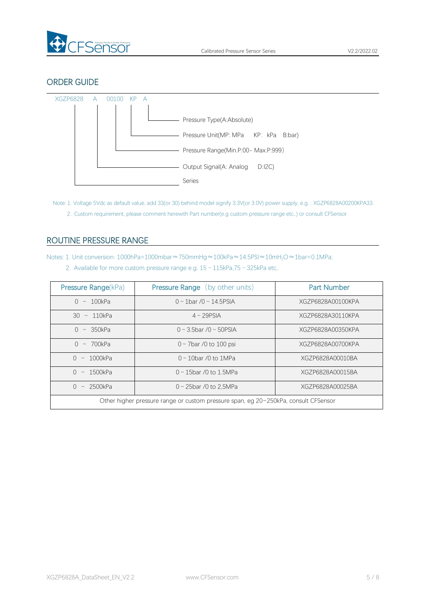

# ORDER GUIDE



Note: 1. Voltage 5Vdc as default value, add 33(or 30) behind model signify 3.3V(or 3.0V) power supply, e.g. : XGZP6828A00200KPA33. 2. Custom requirement, please comment herewith Part number(e.g custom pressure range etc,.) or consult CFSensor

# <span id="page-4-0"></span>ROUTINE PRESSURE RANGE

Notes: 1. Unit conversion: 1000hPa=1000mbar≈750mmHg≈100kPa≈14.5PSI≈10mH<sub>2</sub>O≈1bar=0.1MPa;

2. Available for more custom pressure range e.g.  $15 \sim 115$ kPa,75  $\sim 325$ kPa etc,.

| Pressure Range(kPa)                                                                 | <b>Pressure Range</b> (by other units) | <b>Part Number</b> |
|-------------------------------------------------------------------------------------|----------------------------------------|--------------------|
| $0 \sim 100$ kPa                                                                    | $0 \sim 1$ bar /0 ~ 14.5PSIA           | XGZP6828A00100KPA  |
| $30 \sim 110kPa$                                                                    | $4 \sim 29$ PSIA                       | XGZP6828A30110KPA  |
| $\bigcap$<br>$\sim$ 350kPa                                                          | $0 \sim 3.5$ bar / $0 \sim 50$ PSIA    | XGZP6828A00350KPA  |
| $\sim 700$ kPa<br>$\cap$                                                            | $0 \sim$ 7bar /0 to 100 psi            | XGZP6828A00700KPA  |
| $0 \sim 1000$ kPa                                                                   | $0 \sim 10$ bar /0 to 1MPa             | XGZP6828A00010BA   |
| $0 \sim 1500$ kPa                                                                   | $0 \sim 15$ bar /0 to 1.5MPa           | XGZP6828A00015BA   |
| $0 \sim 2500$ kPa                                                                   | $0 \sim 25$ bar /0 to 2.5MPa           | XGZP6828A00025BA   |
| Other higher pressure range or custom pressure span, eg 20~250kPa, consult CFSensor |                                        |                    |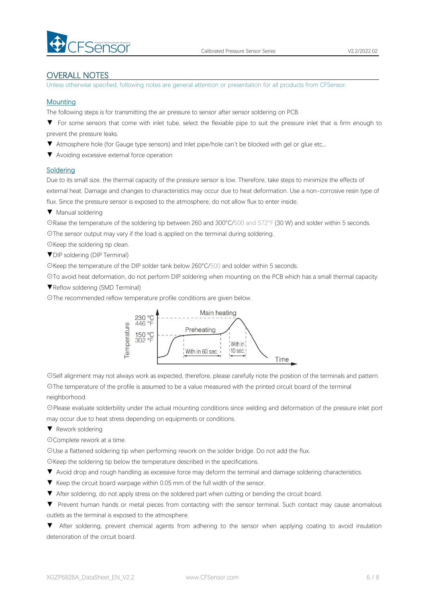

#### OVERALL NOTES

Unless otherwise specified, following notes are general attention or presentation for all products from CFSensor.

#### **Mounting**

The following steps is for transmitting the air pressure to sensor after sensor soldering on PCB.

▼ For some sensors that come with inlet tube, select the flexiable pipe to suit the pressure inlet that is firm enough to prevent the pressure leaks.

- ▼ Atmosphere hole (for Gauge type sensors) and Inlet pipe/hole can't be blocked with gel or glue etc,..
- ▼ Avoiding excessive external force operation

#### **Soldering**

Due to its small size, the thermal capacity of the pressure sensor is low. Therefore, take steps to minimize the effects of external heat. Damage and changes to characteristics may occur due to heat deformation. Use a non-corrosive resin type of flux. Since the pressure sensor is exposed to the atmosphere, do not allow flux to enter inside.

▼ Manual soldering

☉Raise the temperature of the soldering tip between 260 and 300°C/500 and 572°F (30 W) and solder within 5 seconds. ☉The sensor output may vary if the load is applied on the terminal during soldering.

☉Keep the soldering tip clean.

▼DIP soldering (DIP Terminal)

☉Keep the temperature of the DIP solder tank below 260°C/500 and solder within 5 seconds.

☉To avoid heat deformation, do not perform DIP soldering when mounting on the PCB which has a small thermal capacity.

▼Reflow soldering (SMD Terminal)

☉The recommended reflow temperature profile conditions are given below.



☉Self alignment may not always work as expected, therefore, please carefully note the position of the terminals and pattern. ☉The temperature of the profile is assumed to be a value measured with the printed circuit board of the terminal neighborhood.

☉Please evaluate solderbility under the actual mounting conditions since welding and deformation of the pressure inlet port may occur due to heat stress depending on equipments or conditions.

▼ Rework soldering

☉Complete rework at a time.

☉Use a flattened soldering tip when performing rework on the solder bridge. Do not add the flux.

☉Keep the soldering tip below the temperature described in the specifications.

▼ Avoid drop and rough handling as excessive force may deform the terminal and damage soldering characteristics.

- 
- ▼ Keep the circuit board warpage within 0.05 mm of the full width of the sensor.<br>▼ After soldering, do not apply stress on the soldered part when cutting or bending the circuit board.
- ▼ Prevent human hands or metal pieces from contacting with the sensor terminal. Such contact may cause anomalous outlets as the terminal is exposed to the atmosphere.

▼ After soldering, prevent chemical agents from adhering to the sensor when applying coating to avoid insulation deterioration of the circuit board.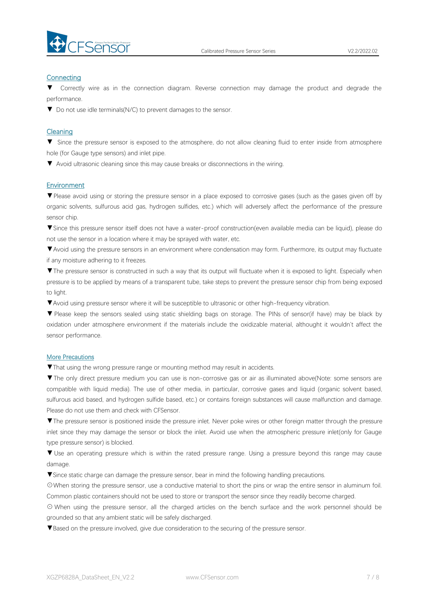

#### **Connecting**

Correctly wire as in the connection diagram. Reverse connection may damage the product and degrade the performance.

▼ Do not use idle terminals(N/C) to prevent damages to the sensor.

#### Cleaning

▼ Since the pressure sensor is exposed to the atmosphere, do not allow cleaning fluid to enter inside from atmosphere hole (for Gauge type sensors) and inlet pipe.

▼ Avoid ultrasonic cleaning since this may cause breaks or disconnections in the wiring.

#### Environment

▼Please avoid using or storing the pressure sensor in a place exposed to corrosive gases (such as the gases given off by organic solvents, sulfurous acid gas, hydrogen sulfides, etc.) which will adversely affect the performance of the pressure sensor chip.

▼Since this pressure sensor itself does not have a water-proof construction(even available media can be liquid), please do not use the sensor in alocation where it may be sprayed with water, etc.

▼Avoid using the pressure sensors in an environment where condensation may form. Furthermore, its output may fluctuate if any moisture adhering to it freezes.

▼The pressure sensor is constructed in such a way that its output will fluctuate when it is exposed to light. Especially when pressure is to be applied by means of a transparent tube, take steps to prevent the pressure sensor chip from being exposed to light.

▼Avoid using pressure sensor where it will be susceptible to ultrasonic or other high-frequency vibration.

▼ Please keep the sensors sealed using static shielding bags on storage. The PINs of sensor(if have) may be black by oxidation under atmosphere environment if the materials include the oxidizable material, althought it wouldn't affect the sensor performance.

#### More Precautions

▼That using the wrong pressure range or mounting method mayresult in accidents.

▼The only direct pressure medium you can use is non-corrosive gas or air as illuminated above(Note: some sensors are compatible with liquid media). The use of other media, in particular, corrosive gases and liquid (organic solvent based, sulfurous acid based, and hydrogen sulfide based, etc.) or contains foreign substances will cause malfunction and damage.<br>Please do not use them and check with CFSensor.

▼The pressure sensor is positioned inside the pressure inlet. Never poke wires orother foreign matter through the pressure inlet since they may damage the sensor or block the inlet. Avoid use when the atmospheric pressure inlet(only for Gauge type pressure sensor) is blocked.

▼ Use an operating pressure which is within the rated pressure range. Using a pressure beyond this range may cause damage.

▼Since static charge can damage the pressure sensor, bear in mind the following handling precautions.

☉When storing the pressure sensor, use a conductive material to short the pins or wrap the entire sensor in aluminum foil. Common plastic containers should not be used to store or transport the sensor since they readily become charged.

⊙ When using the pressure sensor, all the charged articles on the bench surface and the work personnel should be grounded so that any ambient static will be safely discharged.

▼Based on the pressure involved, give due consideration to the securing of the pressure sensor.